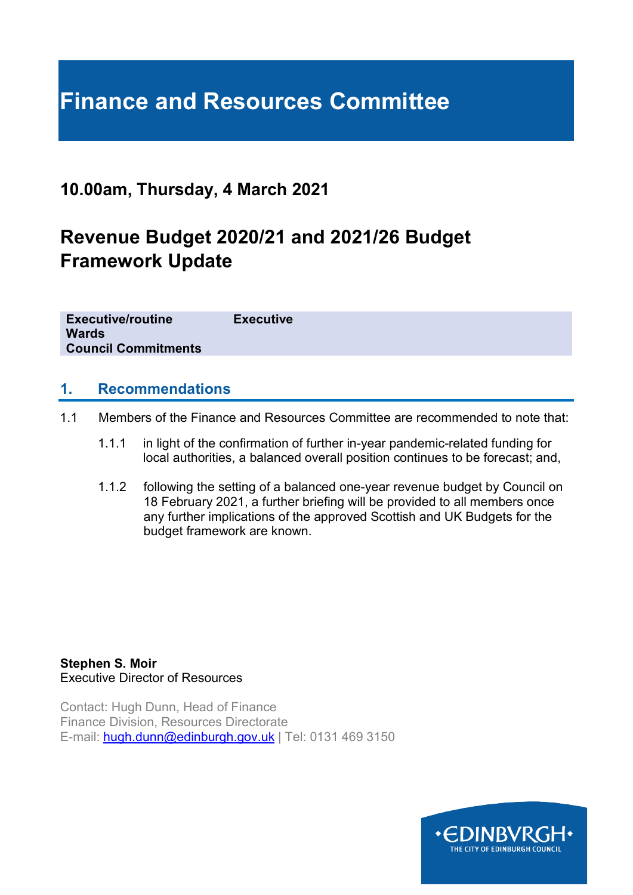# **Finance and Resources Committee**

## **10.00am, Thursday, 4 March 2021**

## **Revenue Budget 2020/21 and 2021/26 Budget Framework Update**

**Executive/routine Executive Wards Council Commitments**

#### **1. Recommendations**

- 1.1 Members of the Finance and Resources Committee are recommended to note that:
	- 1.1.1 in light of the confirmation of further in-year pandemic-related funding for local authorities, a balanced overall position continues to be forecast; and,
	- 1.1.2 following the setting of a balanced one-year revenue budget by Council on 18 February 2021, a further briefing will be provided to all members once any further implications of the approved Scottish and UK Budgets for the budget framework are known.

**Stephen S. Moir**  Executive Director of Resources

Contact: Hugh Dunn, Head of Finance Finance Division, Resources Directorate E-mail: [hugh.dunn@edinburgh.gov.uk](mailto:hugh.dunn@edinburgh.gov.uk) | Tel: 0131 469 3150

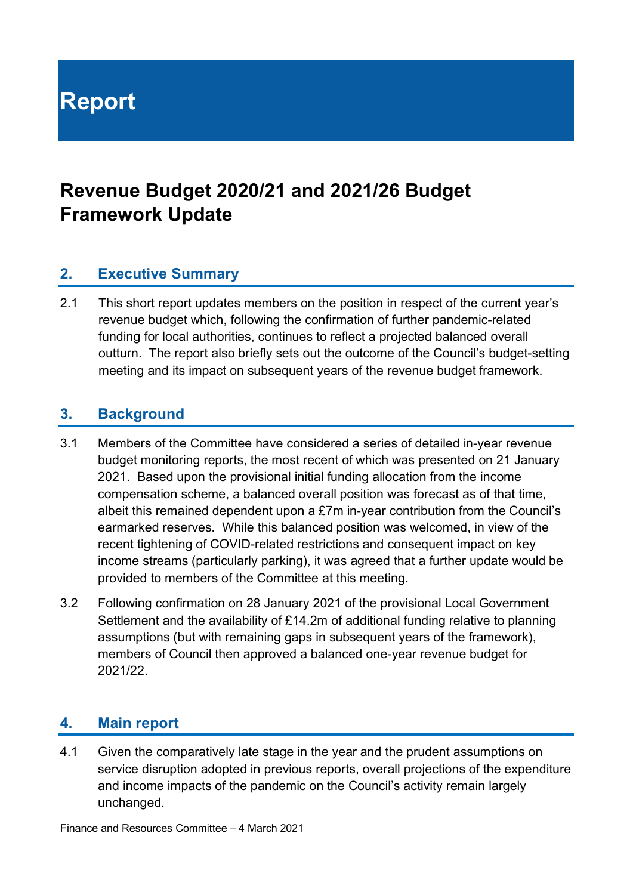**Report**

## **Revenue Budget 2020/21 and 2021/26 Budget Framework Update**

## **2. Executive Summary**

2.1 This short report updates members on the position in respect of the current year's revenue budget which, following the confirmation of further pandemic-related funding for local authorities, continues to reflect a projected balanced overall outturn. The report also briefly sets out the outcome of the Council's budget-setting meeting and its impact on subsequent years of the revenue budget framework.

## **3. Background**

- 3.1 Members of the Committee have considered a series of detailed in-year revenue budget monitoring reports, the most recent of which was presented on 21 January 2021. Based upon the provisional initial funding allocation from the income compensation scheme, a balanced overall position was forecast as of that time, albeit this remained dependent upon a £7m in-year contribution from the Council's earmarked reserves. While this balanced position was welcomed, in view of the recent tightening of COVID-related restrictions and consequent impact on key income streams (particularly parking), it was agreed that a further update would be provided to members of the Committee at this meeting.
- 3.2 Following confirmation on 28 January 2021 of the provisional Local Government Settlement and the availability of £14.2m of additional funding relative to planning assumptions (but with remaining gaps in subsequent years of the framework), members of Council then approved a balanced one-year revenue budget for 2021/22.

## **4. Main report**

4.1 Given the comparatively late stage in the year and the prudent assumptions on service disruption adopted in previous reports, overall projections of the expenditure and income impacts of the pandemic on the Council's activity remain largely unchanged.

Finance and Resources Committee – 4 March 2021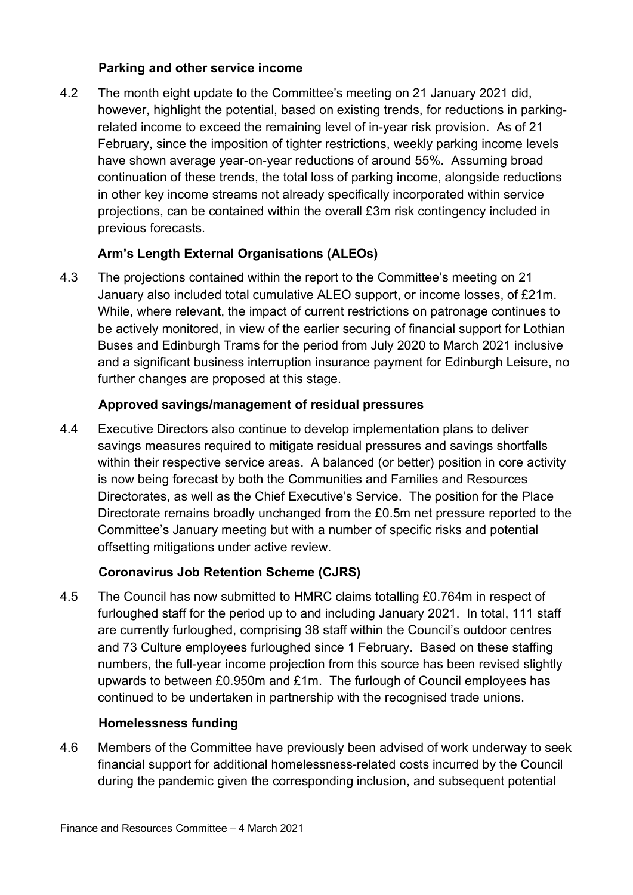#### **Parking and other service income**

4.2 The month eight update to the Committee's meeting on 21 January 2021 did, however, highlight the potential, based on existing trends, for reductions in parkingrelated income to exceed the remaining level of in-year risk provision. As of 21 February, since the imposition of tighter restrictions, weekly parking income levels have shown average year-on-year reductions of around 55%. Assuming broad continuation of these trends, the total loss of parking income, alongside reductions in other key income streams not already specifically incorporated within service projections, can be contained within the overall £3m risk contingency included in previous forecasts.

## **Arm's Length External Organisations (ALEOs)**

4.3 The projections contained within the report to the Committee's meeting on 21 January also included total cumulative ALEO support, or income losses, of £21m. While, where relevant, the impact of current restrictions on patronage continues to be actively monitored, in view of the earlier securing of financial support for Lothian Buses and Edinburgh Trams for the period from July 2020 to March 2021 inclusive and a significant business interruption insurance payment for Edinburgh Leisure, no further changes are proposed at this stage.

#### **Approved savings/management of residual pressures**

4.4 Executive Directors also continue to develop implementation plans to deliver savings measures required to mitigate residual pressures and savings shortfalls within their respective service areas. A balanced (or better) position in core activity is now being forecast by both the Communities and Families and Resources Directorates, as well as the Chief Executive's Service. The position for the Place Directorate remains broadly unchanged from the £0.5m net pressure reported to the Committee's January meeting but with a number of specific risks and potential offsetting mitigations under active review.

## **Coronavirus Job Retention Scheme (CJRS)**

4.5 The Council has now submitted to HMRC claims totalling £0.764m in respect of furloughed staff for the period up to and including January 2021. In total, 111 staff are currently furloughed, comprising 38 staff within the Council's outdoor centres and 73 Culture employees furloughed since 1 February. Based on these staffing numbers, the full-year income projection from this source has been revised slightly upwards to between £0.950m and £1m. The furlough of Council employees has continued to be undertaken in partnership with the recognised trade unions.

#### **Homelessness funding**

4.6 Members of the Committee have previously been advised of work underway to seek financial support for additional homelessness-related costs incurred by the Council during the pandemic given the corresponding inclusion, and subsequent potential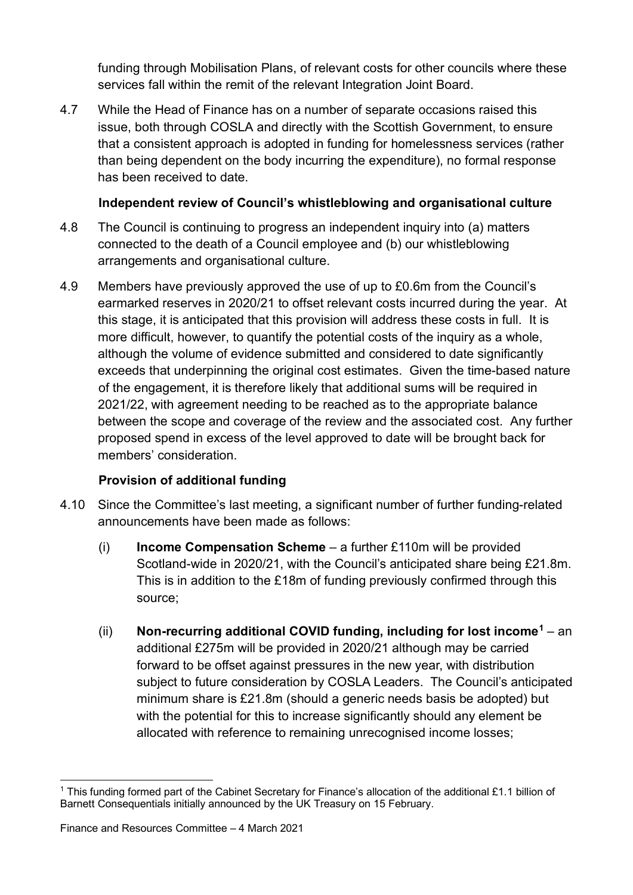funding through Mobilisation Plans, of relevant costs for other councils where these services fall within the remit of the relevant Integration Joint Board.

4.7 While the Head of Finance has on a number of separate occasions raised this issue, both through COSLA and directly with the Scottish Government, to ensure that a consistent approach is adopted in funding for homelessness services (rather than being dependent on the body incurring the expenditure), no formal response has been received to date.

#### **Independent review of Council's whistleblowing and organisational culture**

- 4.8 The Council is continuing to progress an independent inquiry into (a) matters connected to the death of a Council employee and (b) our whistleblowing arrangements and organisational culture.
- 4.9 Members have previously approved the use of up to £0.6m from the Council's earmarked reserves in 2020/21 to offset relevant costs incurred during the year. At this stage, it is anticipated that this provision will address these costs in full. It is more difficult, however, to quantify the potential costs of the inquiry as a whole, although the volume of evidence submitted and considered to date significantly exceeds that underpinning the original cost estimates. Given the time-based nature of the engagement, it is therefore likely that additional sums will be required in 2021/22, with agreement needing to be reached as to the appropriate balance between the scope and coverage of the review and the associated cost. Any further proposed spend in excess of the level approved to date will be brought back for members' consideration.

## **Provision of additional funding**

- 4.10 Since the Committee's last meeting, a significant number of further funding-related announcements have been made as follows:
	- (i) **Income Compensation Scheme** a further £110m will be provided Scotland-wide in 2020/21, with the Council's anticipated share being £21.8m. This is in addition to the £18m of funding previously confirmed through this source;
	- (ii) **Non-recurring additional COVID funding, including for lost income[1](#page-3-0)** an additional £275m will be provided in 2020/21 although may be carried forward to be offset against pressures in the new year, with distribution subject to future consideration by COSLA Leaders. The Council's anticipated minimum share is £21.8m (should a generic needs basis be adopted) but with the potential for this to increase significantly should any element be allocated with reference to remaining unrecognised income losses;

<span id="page-3-0"></span><sup>1</sup> This funding formed part of the Cabinet Secretary for Finance's allocation of the additional £1.1 billion of Barnett Consequentials initially announced by the UK Treasury on 15 February.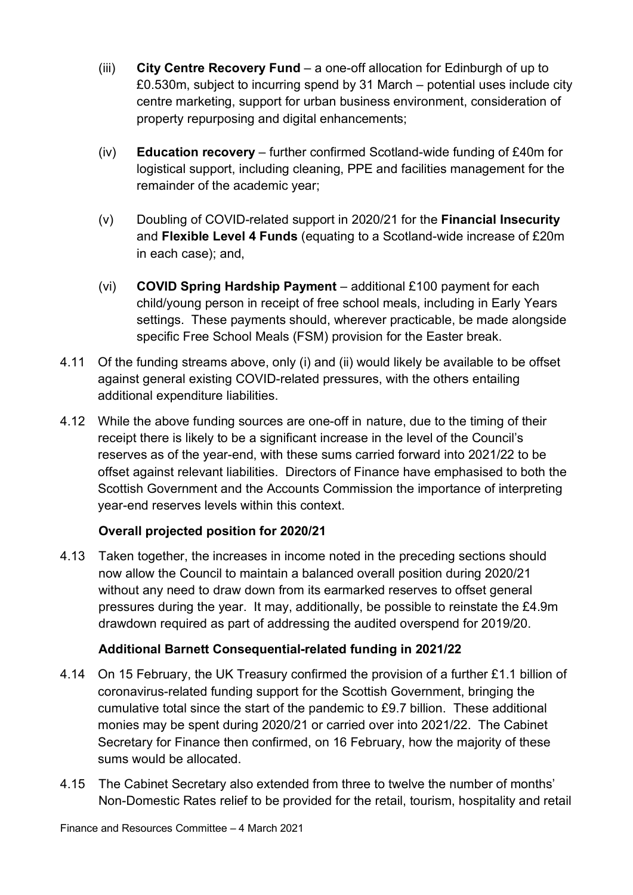- (iii) **City Centre Recovery Fund**  a one-off allocation for Edinburgh of up to £0.530m, subject to incurring spend by 31 March – potential uses include city centre marketing, support for urban business environment, consideration of property repurposing and digital enhancements;
- (iv) **Education recovery**  further confirmed Scotland-wide funding of £40m for logistical support, including cleaning, PPE and facilities management for the remainder of the academic year;
- (v) Doubling of COVID-related support in 2020/21 for the **Financial Insecurity**  and **Flexible Level 4 Funds** (equating to a Scotland-wide increase of £20m in each case); and,
- (vi) **COVID Spring Hardship Payment**  additional £100 payment for each child/young person in receipt of free school meals, including in Early Years settings. These payments should, wherever practicable, be made alongside specific Free School Meals (FSM) provision for the Easter break.
- 4.11 Of the funding streams above, only (i) and (ii) would likely be available to be offset against general existing COVID-related pressures, with the others entailing additional expenditure liabilities.
- 4.12 While the above funding sources are one-off in nature, due to the timing of their receipt there is likely to be a significant increase in the level of the Council's reserves as of the year-end, with these sums carried forward into 2021/22 to be offset against relevant liabilities. Directors of Finance have emphasised to both the Scottish Government and the Accounts Commission the importance of interpreting year-end reserves levels within this context.

## **Overall projected position for 2020/21**

4.13 Taken together, the increases in income noted in the preceding sections should now allow the Council to maintain a balanced overall position during 2020/21 without any need to draw down from its earmarked reserves to offset general pressures during the year. It may, additionally, be possible to reinstate the £4.9m drawdown required as part of addressing the audited overspend for 2019/20.

## **Additional Barnett Consequential-related funding in 2021/22**

- 4.14 On 15 February, the UK Treasury confirmed the provision of a further £1.1 billion of coronavirus-related funding support for the Scottish Government, bringing the cumulative total since the start of the pandemic to £9.7 billion. These additional monies may be spent during 2020/21 or carried over into 2021/22. The Cabinet Secretary for Finance then confirmed, on 16 February, how the majority of these sums would be allocated.
- 4.15 The Cabinet Secretary also extended from three to twelve the number of months' Non-Domestic Rates relief to be provided for the retail, tourism, hospitality and retail

Finance and Resources Committee – 4 March 2021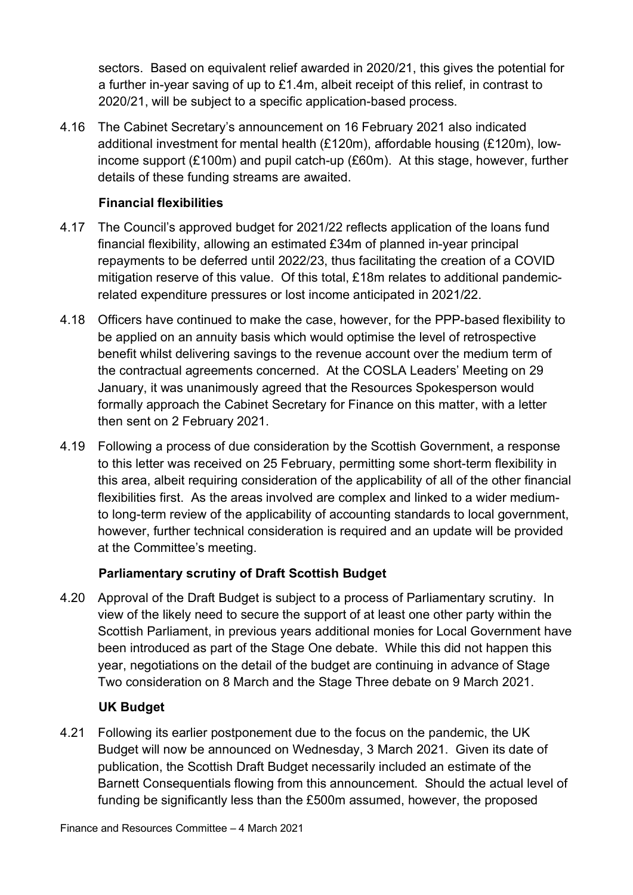sectors. Based on equivalent relief awarded in 2020/21, this gives the potential for a further in-year saving of up to £1.4m, albeit receipt of this relief, in contrast to 2020/21, will be subject to a specific application-based process.

4.16 The Cabinet Secretary's announcement on 16 February 2021 also indicated additional investment for mental health (£120m), affordable housing (£120m), lowincome support (£100m) and pupil catch-up (£60m). At this stage, however, further details of these funding streams are awaited.

#### **Financial flexibilities**

- 4.17 The Council's approved budget for 2021/22 reflects application of the loans fund financial flexibility, allowing an estimated £34m of planned in-year principal repayments to be deferred until 2022/23, thus facilitating the creation of a COVID mitigation reserve of this value. Of this total, £18m relates to additional pandemicrelated expenditure pressures or lost income anticipated in 2021/22.
- 4.18 Officers have continued to make the case, however, for the PPP-based flexibility to be applied on an annuity basis which would optimise the level of retrospective benefit whilst delivering savings to the revenue account over the medium term of the contractual agreements concerned. At the COSLA Leaders' Meeting on 29 January, it was unanimously agreed that the Resources Spokesperson would formally approach the Cabinet Secretary for Finance on this matter, with a letter then sent on 2 February 2021.
- 4.19 Following a process of due consideration by the Scottish Government, a response to this letter was received on 25 February, permitting some short-term flexibility in this area, albeit requiring consideration of the applicability of all of the other financial flexibilities first. As the areas involved are complex and linked to a wider mediumto long-term review of the applicability of accounting standards to local government, however, further technical consideration is required and an update will be provided at the Committee's meeting.

## **Parliamentary scrutiny of Draft Scottish Budget**

4.20 Approval of the Draft Budget is subject to a process of Parliamentary scrutiny. In view of the likely need to secure the support of at least one other party within the Scottish Parliament, in previous years additional monies for Local Government have been introduced as part of the Stage One debate. While this did not happen this year, negotiations on the detail of the budget are continuing in advance of Stage Two consideration on 8 March and the Stage Three debate on 9 March 2021.

## **UK Budget**

4.21 Following its earlier postponement due to the focus on the pandemic, the UK Budget will now be announced on Wednesday, 3 March 2021. Given its date of publication, the Scottish Draft Budget necessarily included an estimate of the Barnett Consequentials flowing from this announcement. Should the actual level of funding be significantly less than the £500m assumed, however, the proposed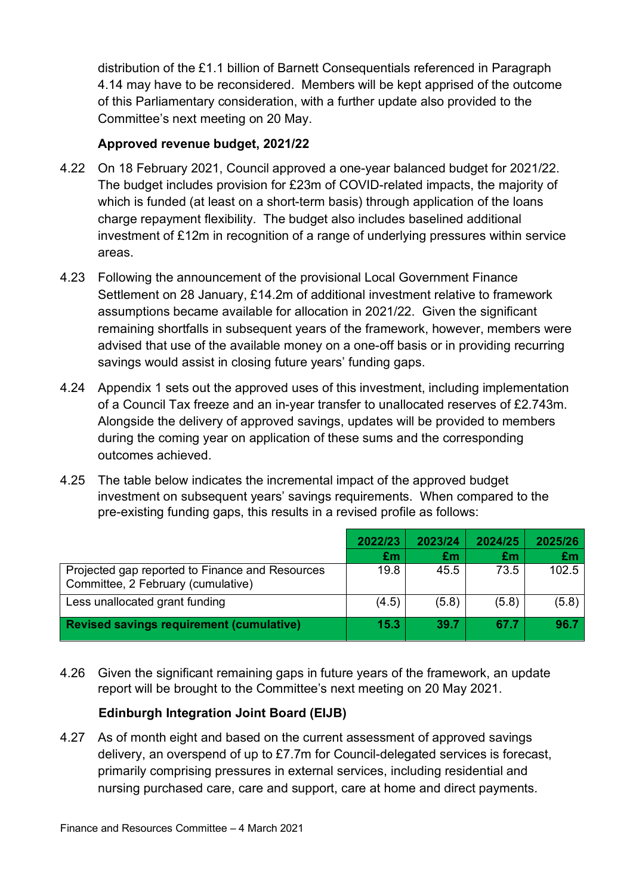distribution of the £1.1 billion of Barnett Consequentials referenced in Paragraph 4.14 may have to be reconsidered. Members will be kept apprised of the outcome of this Parliamentary consideration, with a further update also provided to the Committee's next meeting on 20 May.

#### **Approved revenue budget, 2021/22**

- 4.22 On 18 February 2021, Council approved a one-year balanced budget for 2021/22. The budget includes provision for £23m of COVID-related impacts, the majority of which is funded (at least on a short-term basis) through application of the loans charge repayment flexibility. The budget also includes baselined additional investment of £12m in recognition of a range of underlying pressures within service areas.
- 4.23 Following the announcement of the provisional Local Government Finance Settlement on 28 January, £14.2m of additional investment relative to framework assumptions became available for allocation in 2021/22. Given the significant remaining shortfalls in subsequent years of the framework, however, members were advised that use of the available money on a one-off basis or in providing recurring savings would assist in closing future years' funding gaps.
- 4.24 Appendix 1 sets out the approved uses of this investment, including implementation of a Council Tax freeze and an in-year transfer to unallocated reserves of £2.743m. Alongside the delivery of approved savings, updates will be provided to members during the coming year on application of these sums and the corresponding outcomes achieved.
- 4.25 The table below indicates the incremental impact of the approved budget investment on subsequent years' savings requirements. When compared to the pre-existing funding gaps, this results in a revised profile as follows:

|                                                                                       | 2022/23 | 2023/24 | 2024/25 | 2025/26 |
|---------------------------------------------------------------------------------------|---------|---------|---------|---------|
|                                                                                       | £m      | £m      | £m      | £m      |
| Projected gap reported to Finance and Resources<br>Committee, 2 February (cumulative) | 19.8    | 45.5    | 73.5    | 102.5   |
| Less unallocated grant funding                                                        | (4.5)   | (5.8)   | (5.8)   | (5.8)   |
| <b>Revised savings requirement (cumulative)</b>                                       | 15.3    | 39.7    | 67.7    | 96.7    |

4.26 Given the significant remaining gaps in future years of the framework, an update report will be brought to the Committee's next meeting on 20 May 2021.

## **Edinburgh Integration Joint Board (EIJB)**

4.27 As of month eight and based on the current assessment of approved savings delivery, an overspend of up to £7.7m for Council-delegated services is forecast, primarily comprising pressures in external services, including residential and nursing purchased care, care and support, care at home and direct payments.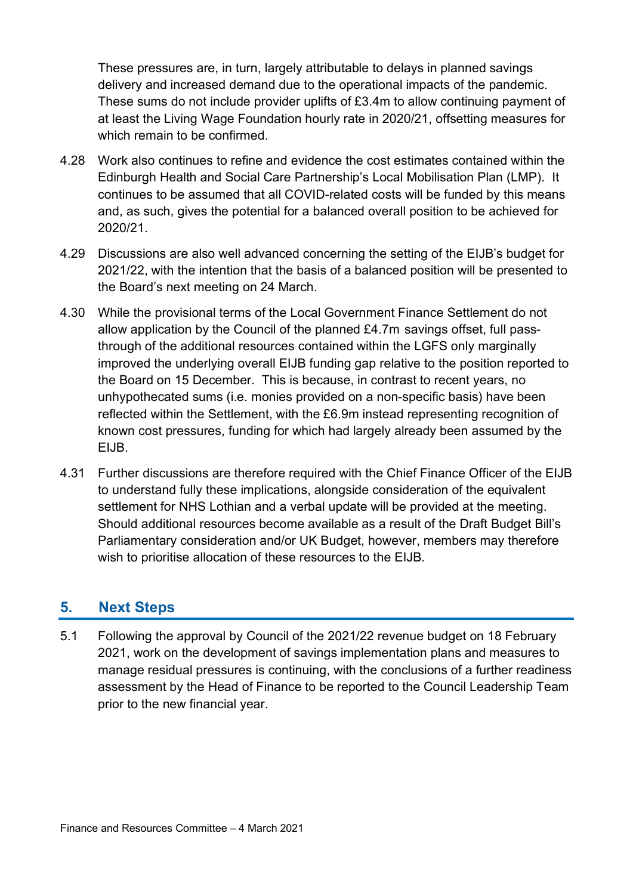These pressures are, in turn, largely attributable to delays in planned savings delivery and increased demand due to the operational impacts of the pandemic. These sums do not include provider uplifts of £3.4m to allow continuing payment of at least the Living Wage Foundation hourly rate in 2020/21, offsetting measures for which remain to be confirmed.

- 4.28 Work also continues to refine and evidence the cost estimates contained within the Edinburgh Health and Social Care Partnership's Local Mobilisation Plan (LMP). It continues to be assumed that all COVID-related costs will be funded by this means and, as such, gives the potential for a balanced overall position to be achieved for 2020/21.
- 4.29 Discussions are also well advanced concerning the setting of the EIJB's budget for 2021/22, with the intention that the basis of a balanced position will be presented to the Board's next meeting on 24 March.
- 4.30 While the provisional terms of the Local Government Finance Settlement do not allow application by the Council of the planned £4.7m savings offset, full passthrough of the additional resources contained within the LGFS only marginally improved the underlying overall EIJB funding gap relative to the position reported to the Board on 15 December. This is because, in contrast to recent years, no unhypothecated sums (i.e. monies provided on a non-specific basis) have been reflected within the Settlement, with the £6.9m instead representing recognition of known cost pressures, funding for which had largely already been assumed by the EIJB.
- 4.31 Further discussions are therefore required with the Chief Finance Officer of the EIJB to understand fully these implications, alongside consideration of the equivalent settlement for NHS Lothian and a verbal update will be provided at the meeting. Should additional resources become available as a result of the Draft Budget Bill's Parliamentary consideration and/or UK Budget, however, members may therefore wish to prioritise allocation of these resources to the EIJB.

## **5. Next Steps**

5.1 Following the approval by Council of the 2021/22 revenue budget on 18 February 2021, work on the development of savings implementation plans and measures to manage residual pressures is continuing, with the conclusions of a further readiness assessment by the Head of Finance to be reported to the Council Leadership Team prior to the new financial year.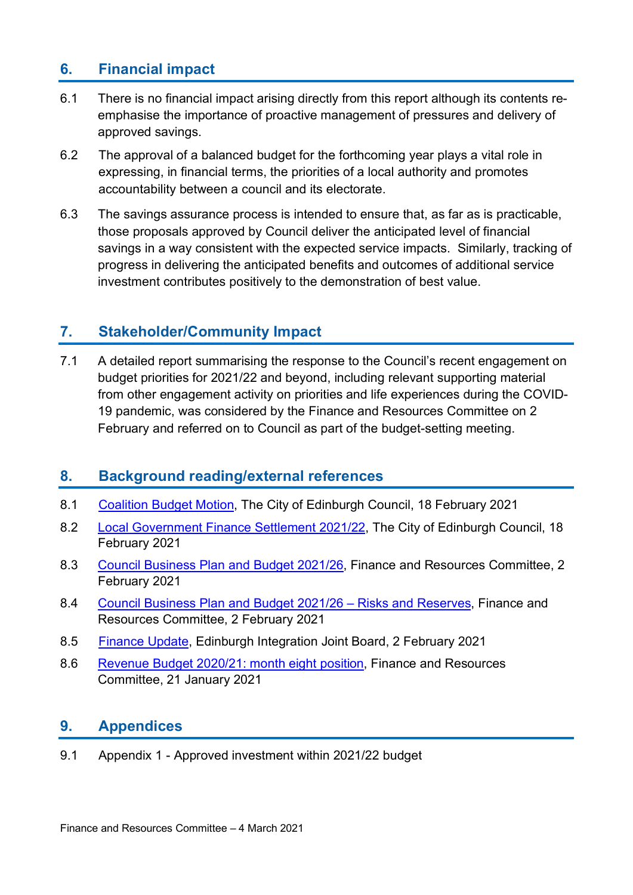## **6. Financial impact**

- 6.1 There is no financial impact arising directly from this report although its contents reemphasise the importance of proactive management of pressures and delivery of approved savings.
- 6.2 The approval of a balanced budget for the forthcoming year plays a vital role in expressing, in financial terms, the priorities of a local authority and promotes accountability between a council and its electorate.
- 6.3 The savings assurance process is intended to ensure that, as far as is practicable, those proposals approved by Council deliver the anticipated level of financial savings in a way consistent with the expected service impacts. Similarly, tracking of progress in delivering the anticipated benefits and outcomes of additional service investment contributes positively to the demonstration of best value.

## **7. Stakeholder/Community Impact**

7.1 A detailed report summarising the response to the Council's recent engagement on budget priorities for 2021/22 and beyond, including relevant supporting material from other engagement activity on priorities and life experiences during the COVID-19 pandemic, was considered by the Finance and Resources Committee on 2 February and referred on to Council as part of the budget-setting meeting.

## **8. Background reading/external references**

- 8.1 [Coalition Budget Motion,](https://democracy.edinburgh.gov.uk/documents/s31642/Coalition%20Budget%20Motion%202021-22.pdf) The City of Edinburgh Council, 18 February 2021
- 8.2 [Local Government Finance Settlement 2021/22,](https://democracy.edinburgh.gov.uk/documents/s31431/Item%204.1b%20-%20Local%20Government%20Finance%20Settlement%202021-22.pdf) The City of Edinburgh Council, 18 February 2021
- 8.3 [Council Business Plan and Budget 2021/26,](https://democracy.edinburgh.gov.uk/documents/s30981/7.1%20-%20Council%20Business%20Plan%20and%20Budget%202021-26.pdf) Finance and Resources Committee, 2 February 2021
- 8.4 [Council Business Plan and Budget 2021/26 –](https://democracy.edinburgh.gov.uk/documents/s30975/7.2%20-%20Council%20Business%20Plan%20and%20Budget%202021-26%20-%20Risks%20and%20Reserves.pdf) Risks and Reserves, Finance and Resources Committee, 2 February 2021
- 8.5 [Finance Update,](https://democracy.edinburgh.gov.uk/documents/s30826/6.1%20Finance%20Update.pdf) Edinburgh Integration Joint Board, 2 February 2021
- 8.6 [Revenue Budget 2020/21: month eight position,](https://democracy.edinburgh.gov.uk/documents/s30426/7.1%20-%20Revenue%20Budget%20202021%20month%20eight%20position.pdf) Finance and Resources Committee, 21 January 2021

## **9. Appendices**

9.1 Appendix 1 - Approved investment within 2021/22 budget